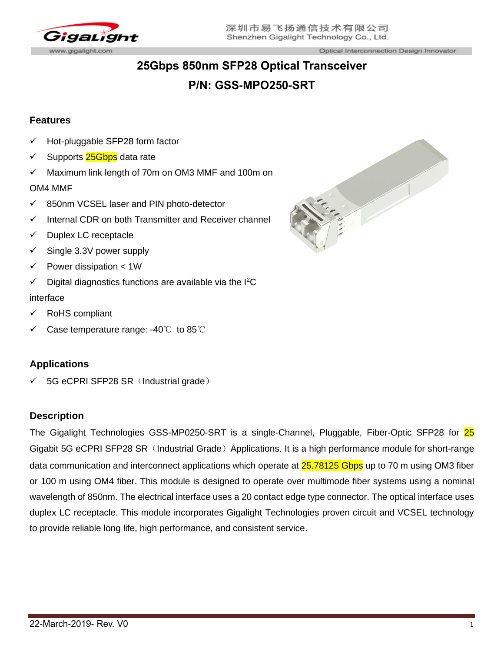

# **25Gbps 850nm SFP28 Optical Transceiver P/N: GSS-MPO250-SRT**

## **Features**

- Hot-pluggable SFP28 form factor
- Supports 25Gbps data rate
- $\checkmark$  Maximum link length of 70m on OM3 MMF and 100m on

#### OM4 MMF

- ✓ 850nm VCSEL laser and PIN photo-detector
- Internal CDR on both Transmitter and Receiver channel
- ✓ Duplex LC receptacle
- $\checkmark$  Single 3.3V power supply
- $\checkmark$  Power dissipation < 1W
- $\checkmark$  Digital diagnostics functions are available via the I<sup>2</sup>C

#### interface

- RoHS compliant
- Case temperature range: -40℃ to 85℃

### **Applications**

 $\checkmark$  5G eCPRI SFP28 SR (Industrial grade)

### **Description**

The Gigalight Technologies GSS-MP0250-SRT is a single-Channel, Pluggable, Fiber-Optic SFP28 for 25 Gigabit 5G eCPRI SFP28 SR (Industrial Grade) Applications. It is a high performance module for short-range data communication and interconnect applications which operate at 25.78125 Gbps up to 70 m using OM3 fiber or 100 m using OM4 fiber. This module is designed to operate over multimode fiber systems using a nominal wavelength of 850nm. The electrical interface uses a 20 contact edge type connector. The optical interface uses duplex LC receptacle. This module incorporates Gigalight Technologies proven circuit and VCSEL technology to provide reliable long life, high performance, and consistent service.

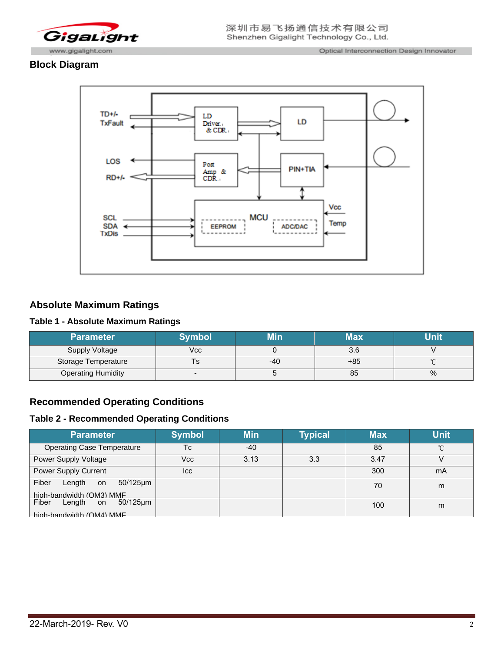

## **Block Diagram**



## **Absolute Maximum Ratings**

#### **Table 1 - Absolute Maximum Ratings**

| <b>Parameter</b>          | Symbol |     | <b>Max</b> | Jnit |
|---------------------------|--------|-----|------------|------|
| Supply Voltage            | Vcc    |     | 3.6        |      |
| Storage Temperature       |        | -40 | $+85$      |      |
| <b>Operating Humidity</b> |        |     | 85         | %    |

### **Recommended Operating Conditions**

#### **Table 2 - Recommended Operating Conditions**

| <b>Parameter</b>                                                 | <b>Symbol</b> | <b>Min</b> | <b>Typical</b> | <b>Max</b> | <b>Unit</b> |
|------------------------------------------------------------------|---------------|------------|----------------|------------|-------------|
| <b>Operating Case Temperature</b>                                | Tc            | $-40$      |                | 85         | °C          |
| Power Supply Voltage                                             | Vcc           | 3.13       | 3.3            | 3.47       |             |
| <b>Power Supply Current</b>                                      | <b>Icc</b>    |            |                | 300        | mA          |
| Fiber<br>Length<br>$50/125$ µm<br>on<br>high-bandwidth (OM3) MMF |               |            |                | 70         | m           |
| Fiber<br>50/125µm<br>Length on<br>high-bandwidth (OM4) MMF       |               |            |                | 100        | m           |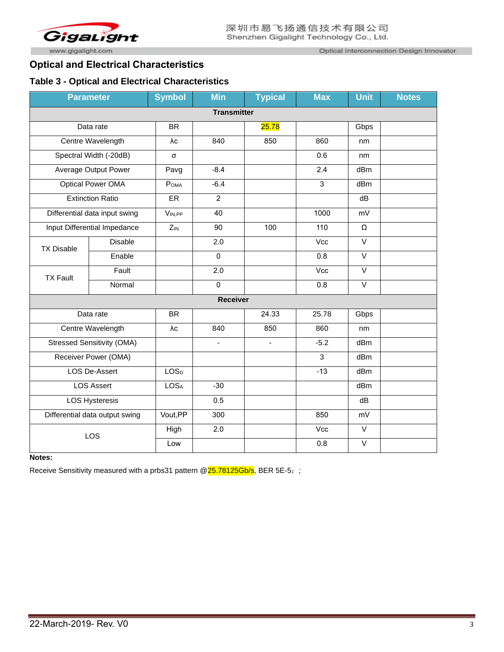

Optical Interconnection Design Innovator

## **Optical and Electrical Characteristics**

#### **Table 3 - Optical and Electrical Characteristics**

|                                | <b>Parameter</b>                  | <b>Symbol</b>    | <b>Min</b>      | <b>Typical</b> | <b>Max</b> | <b>Unit</b>       | <b>Notes</b> |
|--------------------------------|-----------------------------------|------------------|-----------------|----------------|------------|-------------------|--------------|
|                                | <b>Transmitter</b>                |                  |                 |                |            |                   |              |
|                                | Data rate                         | <b>BR</b>        |                 | 25.78          |            | Gbps              |              |
|                                | Centre Wavelength                 | $\lambda c$      | 840             | 850            | 860        | nm                |              |
|                                | Spectral Width (-20dB)            | σ                |                 |                | 0.6        | nm                |              |
|                                | Average Output Power              | Pavg             | $-8.4$          |                | 2.4        | dBm               |              |
|                                | <b>Optical Power OMA</b>          | POMA             | $-6.4$          |                | 3          | dBm               |              |
|                                | <b>Extinction Ratio</b>           | <b>ER</b>        | $\overline{2}$  |                |            | dB                |              |
|                                | Differential data input swing     | VIN,PP           | 40              |                | 1000       | mV                |              |
|                                | Input Differential Impedance      |                  | 90              | 100            | 110        | $\Omega$          |              |
| <b>TX Disable</b>              | Disable                           |                  | 2.0             |                | Vcc        | $\vee$            |              |
|                                | Enable                            |                  | $\mathbf 0$     |                | 0.8        | $\mathsf{V}$      |              |
| <b>TX Fault</b>                | Fault                             |                  | 2.0             |                | Vcc        | $\vee$            |              |
|                                | Normal                            |                  | $\mathbf 0$     |                | 0.8        | $\mathsf{V}$      |              |
|                                |                                   |                  | <b>Receiver</b> |                |            |                   |              |
|                                | Data rate                         | <b>BR</b>        |                 | 24.33          | 25.78      | Gbps              |              |
|                                | Centre Wavelength                 |                  | 840             | 850            | 860        | nm                |              |
|                                | <b>Stressed Sensitivity (OMA)</b> |                  | $\blacksquare$  | ÷,             | $-5.2$     | dB <sub>m</sub>   |              |
|                                | Receiver Power (OMA)              |                  |                 |                | 3          | dB <sub>m</sub>   |              |
| <b>LOS De-Assert</b>           |                                   | LOS <sub>D</sub> |                 |                | $-13$      | dBm               |              |
| <b>LOS Assert</b>              |                                   | <b>LOSA</b>      | $-30$           |                |            | dBm               |              |
| <b>LOS Hysteresis</b>          |                                   |                  | 0.5             |                |            | dB                |              |
| Differential data output swing |                                   | Vout, PP         | 300             |                | 850        | mV                |              |
|                                |                                   | High             | 2.0             |                | Vcc        | $\overline{\vee}$ |              |
| LOS                            |                                   | Low              |                 |                | 0.8        | $\overline{\vee}$ |              |

#### **Notes:**

Receive Sensitivity measured with a prbs31 pattern @25.78125Gb/s, BER 5E-5;;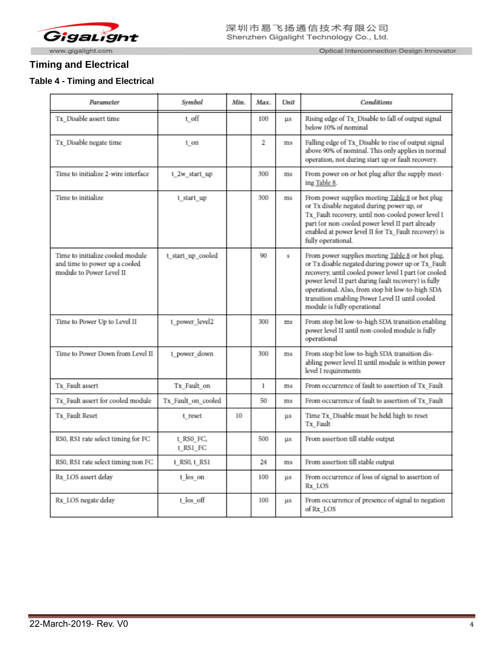

Optical Interconnection Design Innovator

## **Timing and Electrical**

#### **Table 4 - Timing and Electrical**

| Parameter                                                                                     | Symbol                | Min. | Max.         | Unit                    | Conditions                                                                                                                                                                                                                                                                                                                                                 |
|-----------------------------------------------------------------------------------------------|-----------------------|------|--------------|-------------------------|------------------------------------------------------------------------------------------------------------------------------------------------------------------------------------------------------------------------------------------------------------------------------------------------------------------------------------------------------------|
| Tx_Disable assert time                                                                        | t off                 |      | 100          | ЦS                      | Rising edge of Tx_Disable to fall of output signal<br>below 10% of nominal                                                                                                                                                                                                                                                                                 |
| Tx Disable negate time                                                                        | t on                  |      | 2            | ms                      | Falling edge of Tx Disable to rise of output signal<br>above 90% of nominal. This only applies in normal<br>operation, not during start up or fault recovery.                                                                                                                                                                                              |
| Time to initialize 2-wire interface                                                           | t 2w start up         |      | 300          | ms                      | From power on or hot plug after the supply meet-<br>ing Table 8.                                                                                                                                                                                                                                                                                           |
| Time to initialize                                                                            | t start up            |      | 300          | ms                      | From power supplies meeting Table 8 or hot plug<br>or Tx disable negated during power up, or<br>Tx_Fault recovery, until non-cooled power level I<br>part (or non-cooled power level II part already<br>enabled at power level II for Tx Fault recovery) is<br>fully operational.                                                                          |
| Time to initialize cooled module<br>and time to power up a cooled<br>module to Power Level II | t_start_up_cooled     |      | 90           | $\overline{\mathbf{s}}$ | From power supplies meeting Table 8 or hot plug,<br>or Tx disable negated during power up or Tx_Fault<br>recovery, until cooled power level I part (or cooled<br>power level II part during fault recovery) is fully<br>operational. Also, from stop bit low-to-high SDA<br>transition enabling Power Level II until cooled<br>module is fully operational |
| Time to Power Up to Level II                                                                  | t power level2        |      | 300          | ms                      | From stop bit low-to-high SDA transition enabling<br>power level II until non-cooled module is fully<br>operational                                                                                                                                                                                                                                        |
| Time to Power Down from Level II                                                              | t power down          |      | 300          | ms                      | From stop bit low-to-high SDA transition dis-<br>abling power level II until module is within power<br>level I requirements                                                                                                                                                                                                                                |
| Tx Fault assert                                                                               | Tx Fault on           |      | $\mathbf{1}$ | ms                      | From occurrence of fault to assertion of Tx_Fault                                                                                                                                                                                                                                                                                                          |
| Tx Fault assert for cooled module                                                             | Tx_Fault_on_cooled    |      | 50           | ms                      | From occurrence of fault to assertion of Tx_Fault                                                                                                                                                                                                                                                                                                          |
| Tx Fault Reset                                                                                | t reset               | 10   |              | μs                      | Time Tx_Disable must be held high to reset<br>Tx Fault                                                                                                                                                                                                                                                                                                     |
| RS0, RS1 rate select timing for FC                                                            | t RSO FC,<br>t RS1 FC |      | 5(0)         | ЦS                      | From assertion till stable output                                                                                                                                                                                                                                                                                                                          |
| RS0, RS1 rate select timing non FC                                                            | t RS0, t RS1          |      | 24           | ms                      | From assertion till stable output                                                                                                                                                                                                                                                                                                                          |
| Rx LOS assert delay                                                                           | t los on              |      | 100          | ЦS                      | From occurrence of loss of signal to assertion of<br>Rx LOS                                                                                                                                                                                                                                                                                                |
| Rx_LOS negate delay                                                                           | t_los_off             |      | 100          | <b>LLS</b>              | From occurrence of presence of signal to negation<br>of Rx LOS                                                                                                                                                                                                                                                                                             |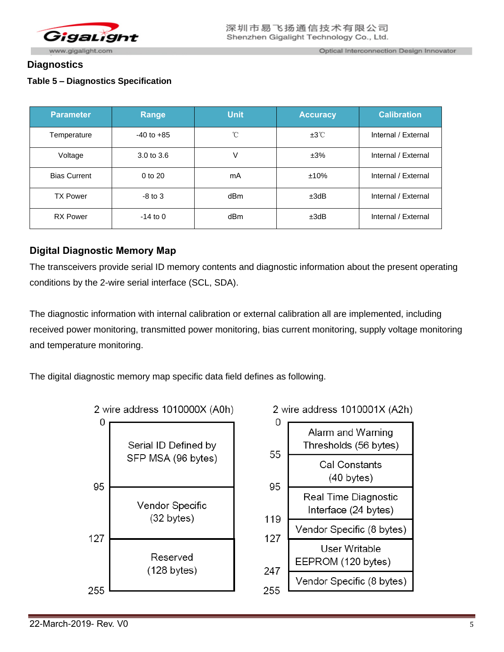

### **Diagnostics**

### **Table 5 – Diagnostics Specification**

| <b>Parameter</b>    | <b>Range</b>   | <b>Unit</b> | <b>Accuracy</b> | <b>Calibration</b>  |
|---------------------|----------------|-------------|-----------------|---------------------|
| Temperature         | $-40$ to $+85$ | °C          | ±3℃             | Internal / External |
| Voltage             | 3.0 to 3.6     | V           | ±3%             | Internal / External |
| <b>Bias Current</b> | $0$ to $20$    | mA          | ±10%            | Internal / External |
| <b>TX Power</b>     | $-8$ to $3$    | dBm         | ±3dB            | Internal / External |
| <b>RX</b> Power     | $-14$ to 0     | dBm         | ±3dB            | Internal / External |

## **Digital Diagnostic Memory Map**

The transceivers provide serial ID memory contents and diagnostic information about the present operating conditions by the 2-wire serial interface (SCL, SDA).

The diagnostic information with internal calibration or external calibration all are implemented, including received power monitoring, transmitted power monitoring, bias current monitoring, supply voltage monitoring and temperature monitoring.

The digital diagnostic memory map specific data field defines as following.

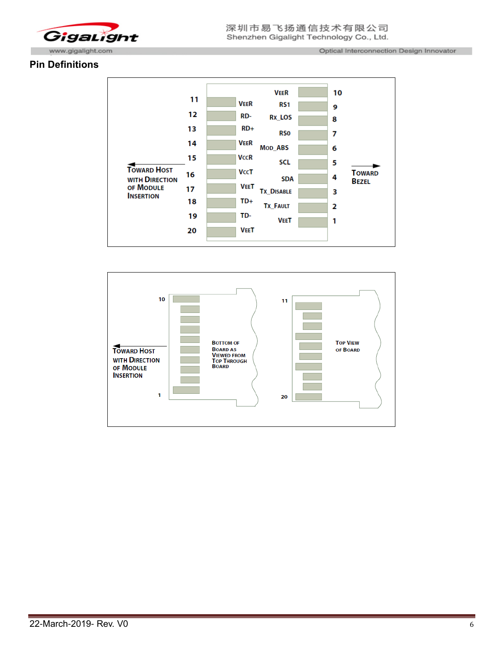

#### **Pin Definitions**



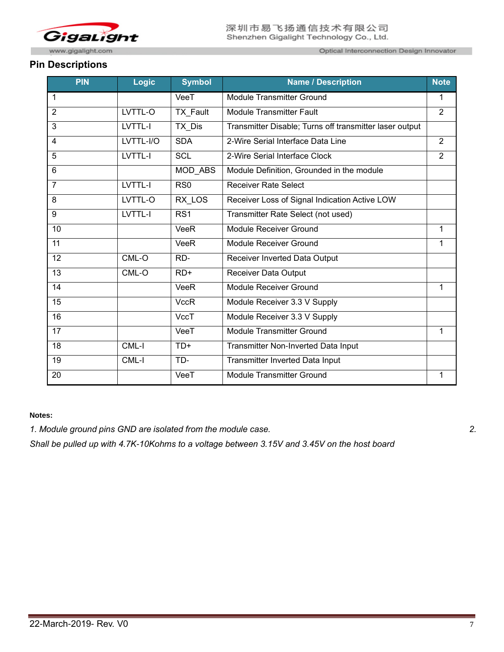

Optical Interconnection Design Innovator

#### **Pin Descriptions**

| <b>PIN</b>      | <b>Logic</b> | <b>Symbol</b>   | <b>Name / Description</b>                               |                |
|-----------------|--------------|-----------------|---------------------------------------------------------|----------------|
| 1               |              | VeeT            | <b>Module Transmitter Ground</b>                        | 1              |
| $\overline{2}$  | LVTTL-O      | TX_Fault        | <b>Module Transmitter Fault</b>                         |                |
| 3               | LVTTL-I      | TX_Dis          | Transmitter Disable; Turns off transmitter laser output |                |
| 4               | LVTTL-I/O    | <b>SDA</b>      | 2-Wire Serial Interface Data Line                       | $\overline{2}$ |
| 5               | LVTTL-I      | <b>SCL</b>      | 2-Wire Serial Interface Clock                           | $\overline{2}$ |
| 6               |              | MOD_ABS         | Module Definition, Grounded in the module               |                |
| $\overline{7}$  | LVTTL-I      | RS <sub>0</sub> | <b>Receiver Rate Select</b>                             |                |
| 8               | LVTTL-O      | RX_LOS          | Receiver Loss of Signal Indication Active LOW           |                |
| 9               | LVTTL-I      | RS <sub>1</sub> | Transmitter Rate Select (not used)                      |                |
| 10              |              | VeeR            | Module Receiver Ground                                  | 1              |
| 11              |              | VeeR            | Module Receiver Ground                                  | 1              |
| 12              | CML-O        | RD-             | Receiver Inverted Data Output                           |                |
| 13              | CML-O        | $RD+$           | <b>Receiver Data Output</b>                             |                |
| 14              |              | VeeR            | <b>Module Receiver Ground</b>                           | 1              |
| 15              |              | <b>VccR</b>     | Module Receiver 3.3 V Supply                            |                |
| 16              |              | VccT            | Module Receiver 3.3 V Supply                            |                |
| 17              |              | VeeT            | <b>Module Transmitter Ground</b>                        | $\mathbf{1}$   |
| $\overline{18}$ | CML-I        | $TD+$           | Transmitter Non-Inverted Data Input                     |                |
| 19              | CML-I        | TD-             | <b>Transmitter Inverted Data Input</b>                  |                |
| 20              |              | VeeT            | <b>Module Transmitter Ground</b>                        | 1              |

#### **Notes:**

*1. Module ground pins GND are isolated from the module case. 2.* 

*Shall be pulled up with 4.7K-10Kohms to a voltage between 3.15V and 3.45V on the host board*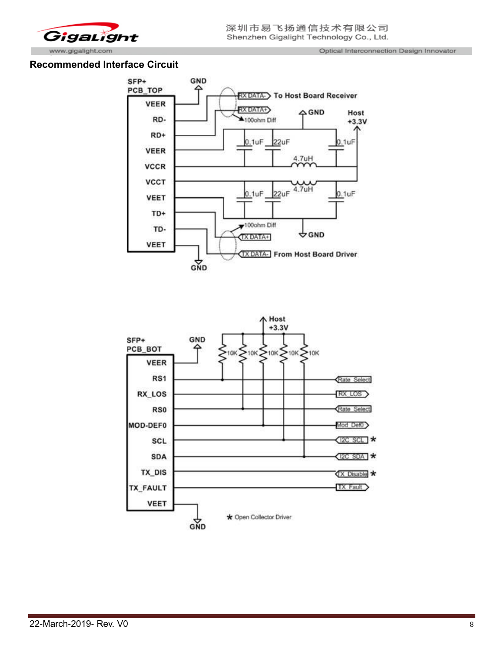

#### **Recommended Interface Circuit**



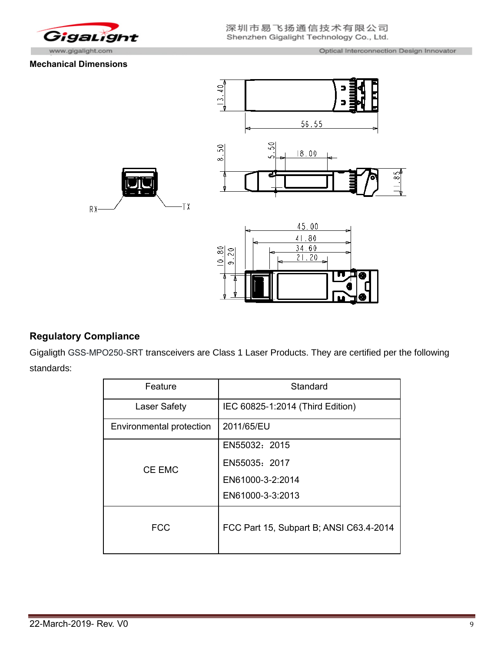

#### **Mechanical Dimensions**



## **Regulatory Compliance**

Gigaligth GSS-MPO250-SRT transceivers are Class 1 Laser Products. They are certified per the following standards:

| Feature                  | Standard                                |
|--------------------------|-----------------------------------------|
| <b>Laser Safety</b>      | IEC 60825-1:2014 (Third Edition)        |
| Environmental protection | 2011/65/EU                              |
| CE EMC                   | EN55032: 2015                           |
|                          | EN55035: 2017                           |
|                          | EN61000-3-2:2014                        |
|                          | EN61000-3-3:2013                        |
| <b>FCC</b>               | FCC Part 15, Subpart B; ANSI C63.4-2014 |